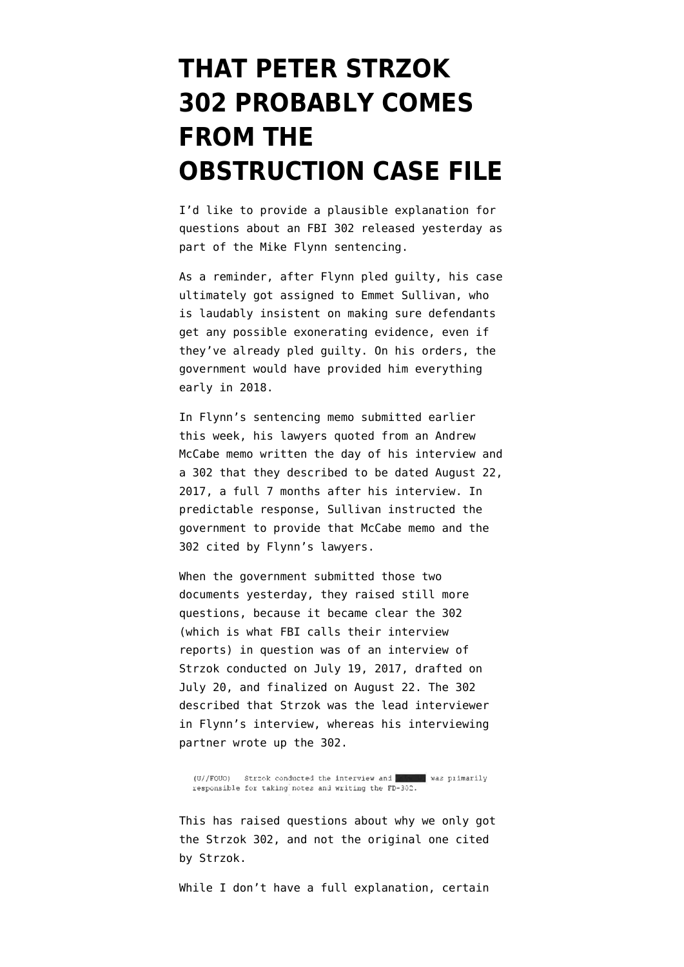## **[THAT PETER STRZOK](https://www.emptywheel.net/2018/12/15/that-peter-strzok-302-probably-comes-from-the-obstruction-case-file/) [302 PROBABLY COMES](https://www.emptywheel.net/2018/12/15/that-peter-strzok-302-probably-comes-from-the-obstruction-case-file/) [FROM THE](https://www.emptywheel.net/2018/12/15/that-peter-strzok-302-probably-comes-from-the-obstruction-case-file/) [OBSTRUCTION CASE FILE](https://www.emptywheel.net/2018/12/15/that-peter-strzok-302-probably-comes-from-the-obstruction-case-file/)**

I'd like to provide a plausible explanation for questions about an [FBI 302 released yesterday](https://assets.documentcloud.org/documents/5628484/Show-Temp.pdf) as part of the Mike Flynn sentencing.

As a reminder, after Flynn pled guilty, his case ultimately got assigned to Emmet Sullivan, who is laudably insistent on making sure defendants get any possible exonerating evidence, even if they've already pled guilty. On his orders, the government would have provided him everything early in 2018.

In Flynn's [sentencing memo](https://www.emptywheel.net/wp-content/uploads/2018/12/181211-Flynn-Sentencing-Memo.pdf) submitted earlier this week, his lawyers quoted from an Andrew McCabe memo written the day of his interview and a 302 that they described to be dated August 22, 2017, a full 7 months after his interview. In predictable response, Sullivan [instructed](https://www.emptywheel.net/2018/12/13/on-emmet-sullivans-order-for-mike-flynns-302s-be-careful-what-you-ask-for/) the government to provide that McCabe memo and the 302 cited by Flynn's lawyers.

When the government submitted those two documents yesterday, they raised still more questions, because it became clear the 302 (which is what FBI calls their interview reports) in question was of an interview of Strzok conducted on July 19, 2017, drafted on July 20, and finalized on August 22. The 302 described that Strzok was the lead interviewer in Flynn's interview, whereas his interviewing partner wrote up the 302.

(U//FOUO) Strzok conducted the interview and **Electron was primarily** responsible for taking notes and writing the FD-302.

This has raised questions about why we only got the Strzok 302, and not the original one cited by Strzok.

While I don't have a full explanation, certain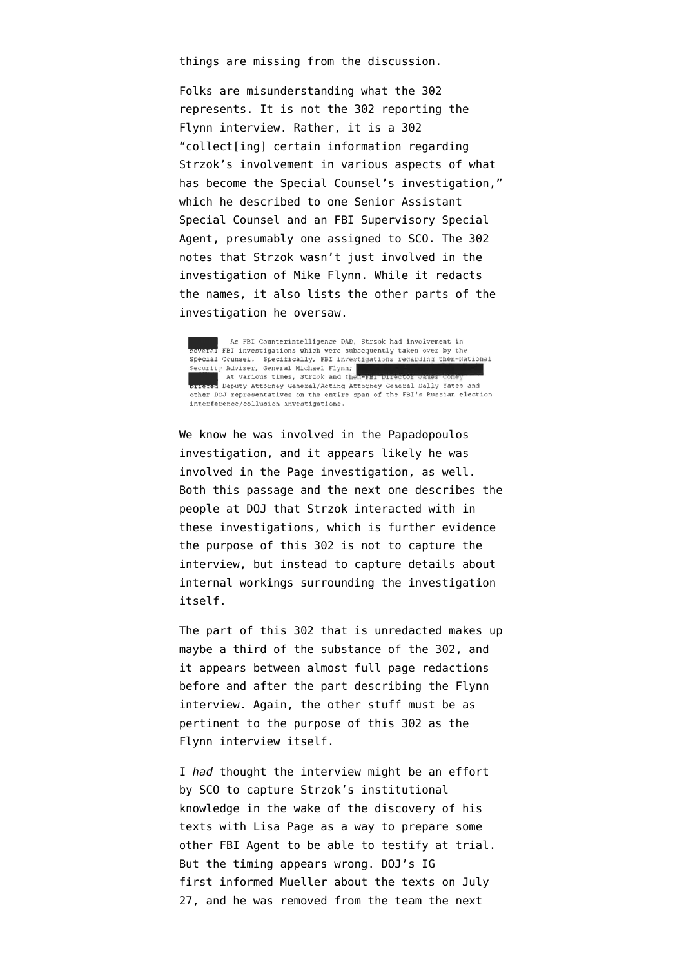things are missing from the discussion.

Folks are misunderstanding what the 302 represents. It is not the 302 reporting the Flynn interview. Rather, it is a 302 "collect[ing] certain information regarding Strzok's involvement in various aspects of what has become the Special Counsel's investigation," which he described to one Senior Assistant Special Counsel and an FBI Supervisory Special Agent, presumably one assigned to SCO. The 302 notes that Strzok wasn't just involved in the investigation of Mike Flynn. While it redacts the names, it also lists the other parts of the investigation he oversaw.

As FBI Counterintelligence DAD, Strzok had involvement in As FBI Counterintelligence DAD, Strzok had involvement in<br>
several FBI investigations which were subsequently taken over by the<br>
Special Counsel. Specifically, FBI investigations regarding then-National<br>
Special Mission Te Security Adviser, General Michael Flynn;<br>Security Adviser, General Michael Flynn;<br>At various times, Strzok and then-rei Director At Various times, Striok and then-FBI Director James Comey<br>Directal Deputy Attorney General/Acting Attorney General Sally Yates and other DOJ representatives on the entire span of the FBI's Fussian election interference/collusion investigations.

We know he was involved in the Papadopoulos investigation, and it appears likely he was involved in the Page investigation, as well. Both this passage and the next one describes the people at DOJ that Strzok interacted with in these investigations, which is further evidence the purpose of this 302 is not to capture the interview, but instead to capture details about internal workings surrounding the investigation itself.

The part of this 302 that is unredacted makes up maybe a third of the substance of the 302, and it appears between almost full page redactions before and after the part describing the Flynn interview. Again, the other stuff must be as pertinent to the purpose of this 302 as the Flynn interview itself.

I *had* thought the interview might be an effort by SCO to capture Strzok's institutional knowledge in the wake of the discovery of his texts with Lisa Page as a way to prepare some other FBI Agent to be able to testify at trial. But the timing appears wrong. DOJ's IG first [informed](https://www.justice.gov/file/1071991/download) Mueller about the texts on July 27, and he was removed from the team the next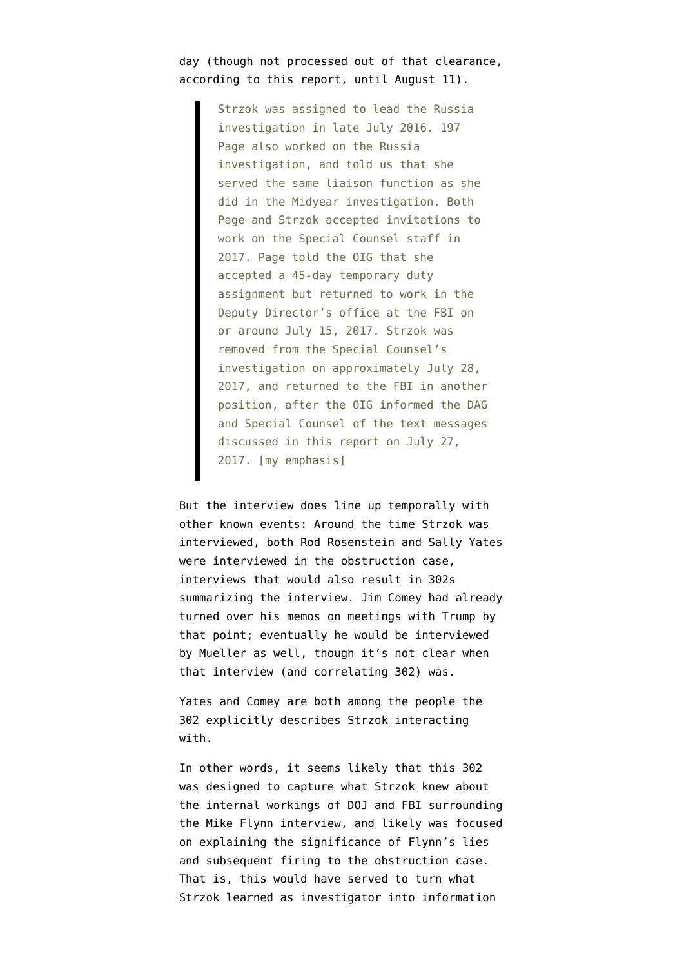## day (though not processed out of that clearance, according to [this report,](https://oig.justice.gov/reports/2018/i-2018-003523.pdf) until August 11).

Strzok was assigned to lead the Russia investigation in late July 2016. 197 Page also worked on the Russia investigation, and told us that she served the same liaison function as she did in the Midyear investigation. Both Page and Strzok accepted invitations to work on the Special Counsel staff in 2017. Page told the OIG that she accepted a 45-day temporary duty assignment but returned to work in the Deputy Director's office at the FBI on or around July 15, 2017. Strzok was removed from the Special Counsel's investigation on approximately July 28, 2017, and returned to the FBI in another position, after the OIG informed the DAG and Special Counsel of the text messages discussed in this report on July 27, 2017. [my emphasis]

But the interview does line up temporally with other known events: Around the time Strzok was interviewed, both [Rod Rosenstein](https://www.wsj.com/articles/special-counsels-office-interviewed-deputy-attorney-general-rod-rosenstein-1505868289) and [Sally Yates](https://www.wsj.com/articles/investigators-interview-sally-yates-about-white-house-meetings-1513034375) were interviewed in the obstruction case, interviews that would also result in 302s summarizing the interview. Jim Comey had already turned over his memos on meetings with Trump by that point; eventually he would be interviewed by Mueller as well, though it's not clear when that interview (and correlating 302) was.

Yates and Comey are both among the people the 302 explicitly describes Strzok interacting with.

In other words, it seems likely that this 302 was designed to capture what Strzok knew about the internal workings of DOJ and FBI surrounding the Mike Flynn interview, and likely was focused on explaining the significance of Flynn's lies and subsequent firing to the obstruction case. That is, this would have served to turn what Strzok learned as investigator into information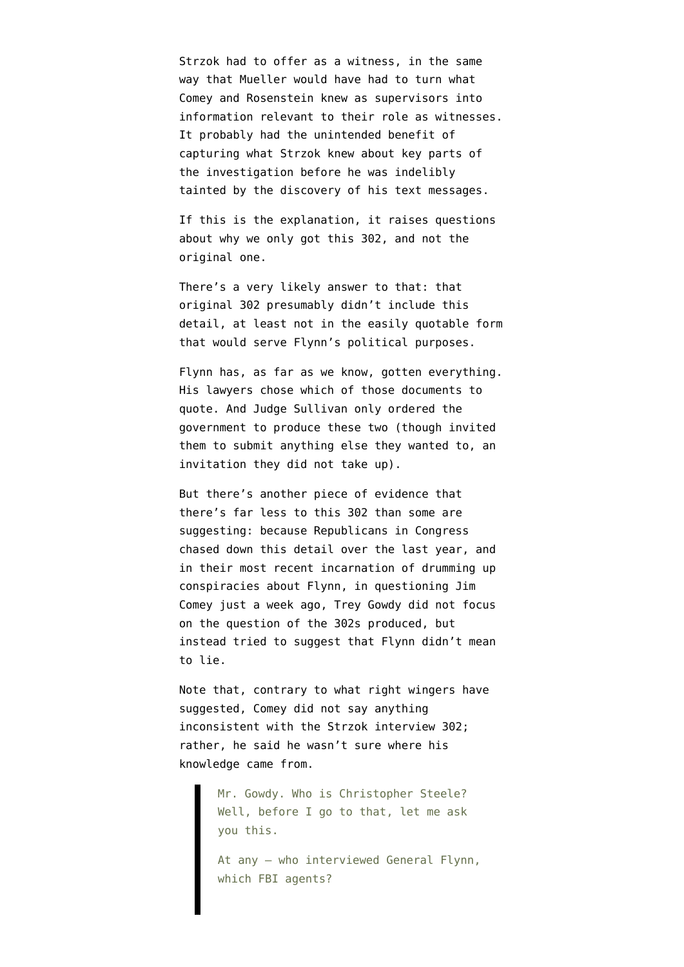Strzok had to offer as a witness, in the same way that Mueller would have had to turn what Comey and Rosenstein knew as supervisors into information relevant to their role as witnesses. It probably had the unintended benefit of capturing what Strzok knew about key parts of the investigation before he was indelibly tainted by the discovery of his text messages.

If this is the explanation, it raises questions about why we only got this 302, and not the original one.

There's a very likely answer to that: that original 302 presumably didn't include this detail, at least not in the easily quotable form that would serve Flynn's political purposes.

Flynn has, as far as we know, gotten everything. His lawyers chose which of those documents to quote. And Judge Sullivan only ordered the government to produce these two (though invited them to submit anything else they wanted to, an invitation they did not take up).

But there's another piece of evidence that there's far less to this 302 than some are suggesting: because Republicans in Congress chased down this detail over the last year, and in their most recent incarnation of drumming up conspiracies about Flynn, in [questioning](https://oversight.house.gov/wp-content/uploads/2018/12/Comey-interview-transcript-12-7-18_Redacted-1.pdf) Jim Comey just a week ago, Trey Gowdy did not focus on the question of the 302s produced, but instead tried to suggest that Flynn didn't mean to lie.

Note that, contrary to what right wingers have suggested, Comey did not say anything inconsistent with the Strzok interview 302; rather, he said he wasn't sure where his knowledge came from.

> Mr. Gowdy. Who is Christopher Steele? Well, before I go to that, let me ask you this.

At any — who interviewed General Flynn, which FBI agents?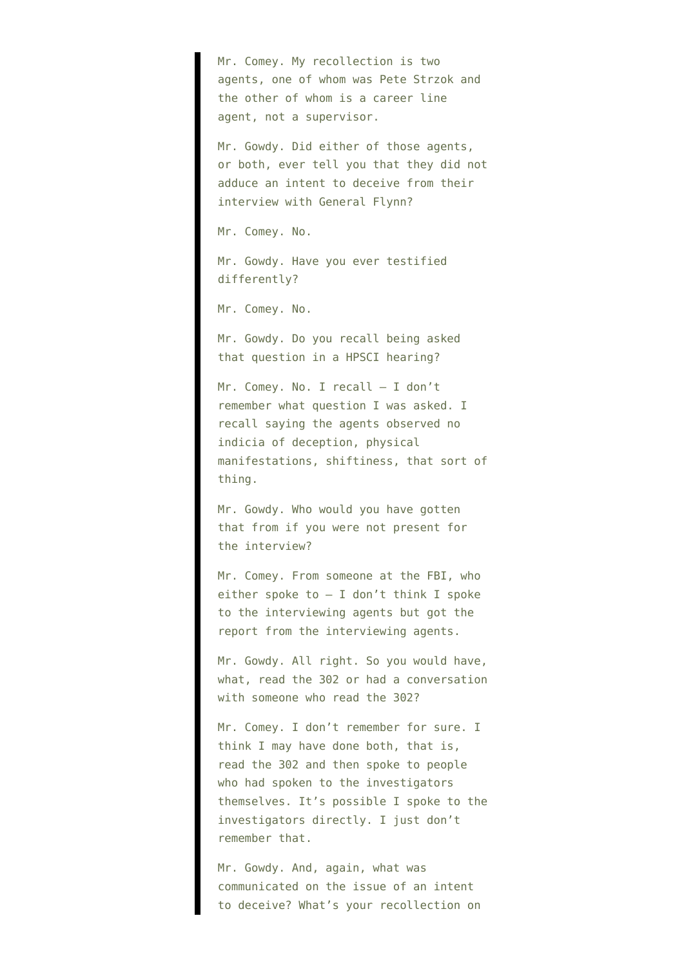Mr. Comey. My recollection is two agents, one of whom was Pete Strzok and the other of whom is a career line agent, not a supervisor.

Mr. Gowdy. Did either of those agents, or both, ever tell you that they did not adduce an intent to deceive from their interview with General Flynn?

Mr. Comey. No.

Mr. Gowdy. Have you ever testified differently?

Mr. Comey. No.

Mr. Gowdy. Do you recall being asked that question in a HPSCI hearing?

Mr. Comey. No. I recall — I don't remember what question I was asked. I recall saying the agents observed no indicia of deception, physical manifestations, shiftiness, that sort of thing.

Mr. Gowdy. Who would you have gotten that from if you were not present for the interview?

Mr. Comey. From someone at the FBI, who either spoke to — I don't think I spoke to the interviewing agents but got the report from the interviewing agents.

Mr. Gowdy. All right. So you would have, what, read the 302 or had a conversation with someone who read the 302?

Mr. Comey. I don't remember for sure. I think I may have done both, that is, read the 302 and then spoke to people who had spoken to the investigators themselves. It's possible I spoke to the investigators directly. I just don't remember that.

Mr. Gowdy. And, again, what was communicated on the issue of an intent to deceive? What's your recollection on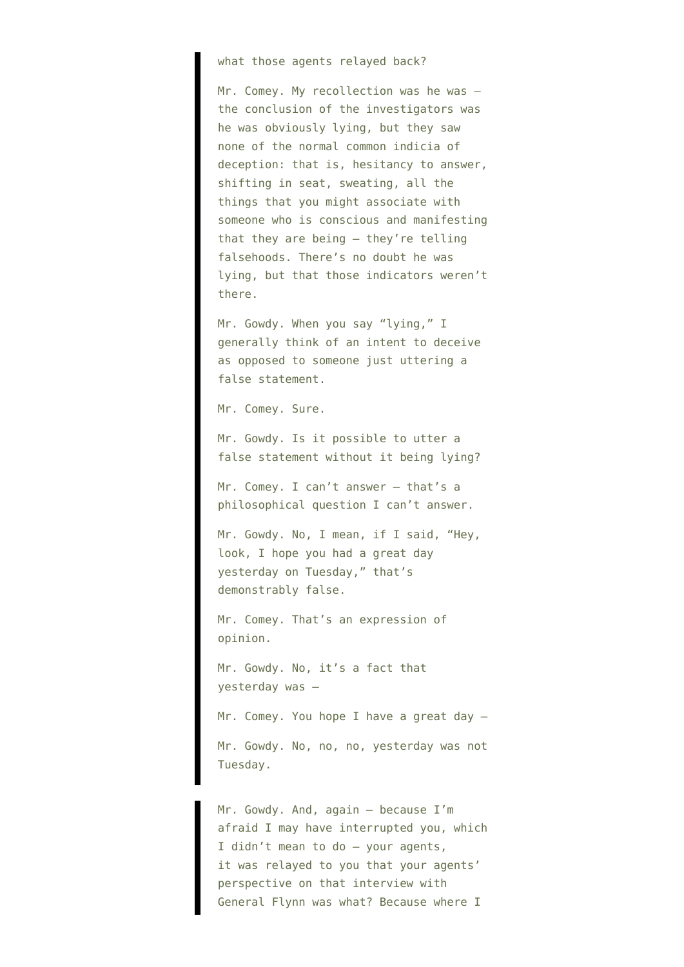## what those agents relayed back?

Mr. Comey. My recollection was he was the conclusion of the investigators was he was obviously lying, but they saw none of the normal common indicia of deception: that is, hesitancy to answer, shifting in seat, sweating, all the things that you might associate with someone who is conscious and manifesting that they are being — they're telling falsehoods. There's no doubt he was lying, but that those indicators weren't there.

Mr. Gowdy. When you say "lying," I generally think of an intent to deceive as opposed to someone just uttering a false statement.

Mr. Comey. Sure.

Mr. Gowdy. Is it possible to utter a false statement without it being lying?

Mr. Comey. I can't answer — that's a philosophical question I can't answer.

Mr. Gowdy. No, I mean, if I said, "Hey, look, I hope you had a great day yesterday on Tuesday," that's demonstrably false.

Mr. Comey. That's an expression of opinion.

Mr. Gowdy. No, it's a fact that yesterday was —

Mr. Comey. You hope I have a great day — Mr. Gowdy. No, no, no, yesterday was not Tuesday.

Mr. Gowdy. And, again — because I'm afraid I may have interrupted you, which I didn't mean to do — your agents, it was relayed to you that your agents' perspective on that interview with General Flynn was what? Because where I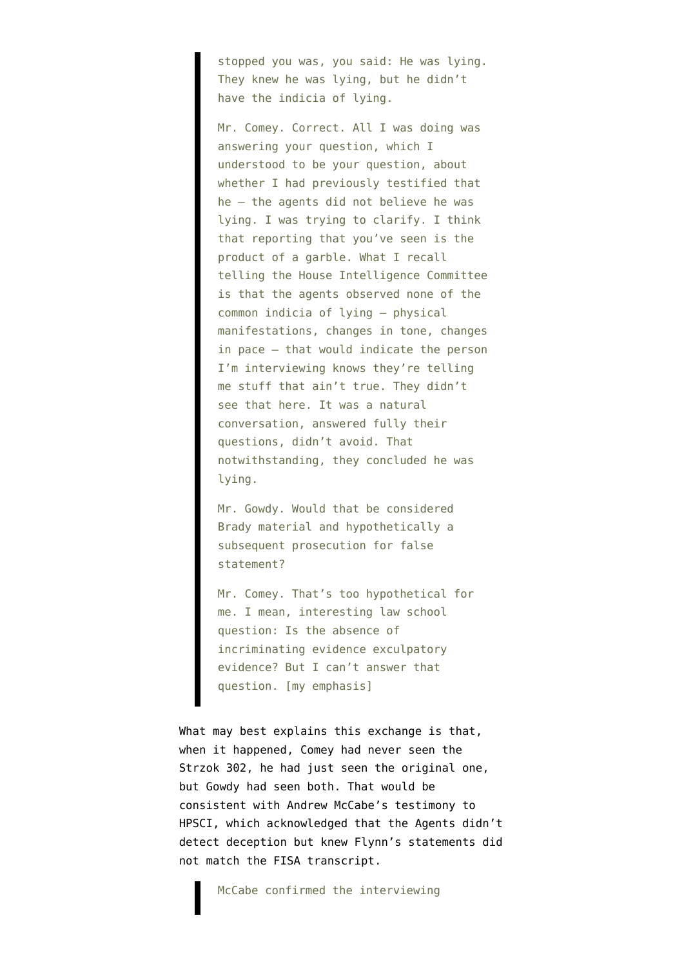stopped you was, you said: He was lying. They knew he was lying, but he didn't have the indicia of lying.

Mr. Comey. Correct. All I was doing was answering your question, which I understood to be your question, about whether I had previously testified that he — the agents did not believe he was lying. I was trying to clarify. I think that reporting that you've seen is the product of a garble. What I recall telling the House Intelligence Committee is that the agents observed none of the common indicia of lying — physical manifestations, changes in tone, changes in pace — that would indicate the person I'm interviewing knows they're telling me stuff that ain't true. They didn't see that here. It was a natural conversation, answered fully their questions, didn't avoid. That notwithstanding, they concluded he was lying.

Mr. Gowdy. Would that be considered Brady material and hypothetically a subsequent prosecution for false statement?

Mr. Comey. That's too hypothetical for me. I mean, interesting law school question: Is the absence of incriminating evidence exculpatory evidence? But I can't answer that question. [my emphasis]

What may best explains this exchange is that, when it happened, Comey had never seen the Strzok 302, he had just seen the original one, but Gowdy had seen both. That would be consistent with Andrew McCabe's [testimony](https://intelligence.house.gov/uploadedfiles/final_russia_investigation_report.pdf) to HPSCI, which acknowledged that the Agents didn't detect deception but knew Flynn's statements did not match the FISA transcript.

McCabe confirmed the interviewing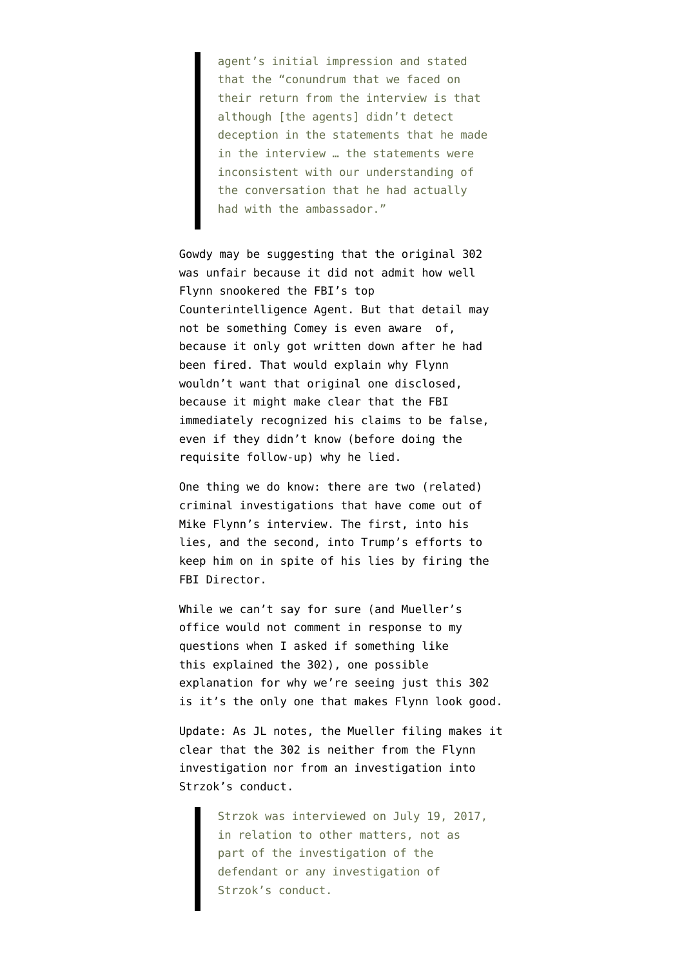agent's initial impression and stated that the "conundrum that we faced on their return from the interview is that although [the agents] didn't detect deception in the statements that he made in the interview … the statements were inconsistent with our understanding of the conversation that he had actually had with the ambassador."

Gowdy may be suggesting that the original 302 was unfair because it did not admit how well Flynn snookered the FBI's top Counterintelligence Agent. But that detail may not be something Comey is even aware of, because it only got written down after he had been fired. That would explain why Flynn wouldn't want that original one disclosed, because it might make clear that the FBI immediately recognized his claims to be false, even if they didn't know (before doing the requisite follow-up) why he lied.

One thing we do know: there are two (related) criminal investigations that have come out of Mike Flynn's interview. The first, into his lies, and the second, into Trump's efforts to keep him on in spite of his lies by firing the FBI Director.

While we can't say for sure (and Mueller's office would not comment in response to my questions when I asked if something like this explained the 302), one possible explanation for why we're seeing just this 302 is it's the only one that makes Flynn look good.

Update: As JL notes, the Mueller filing makes it clear that the 302 is neither from the Flynn investigation nor from an investigation into Strzok's conduct.

> Strzok was interviewed on July 19, 2017, in relation to other matters, not as part of the investigation of the defendant or any investigation of Strzok's conduct.